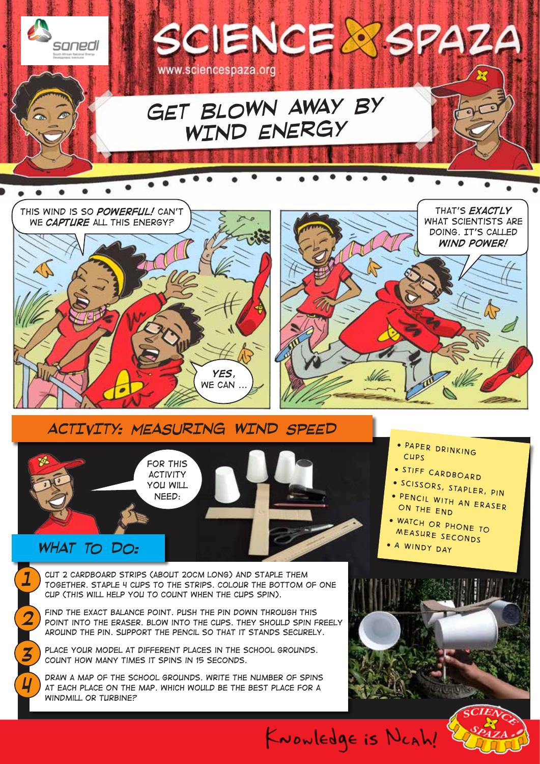



### *WHAT TO DO:*

*1*

*2*

*3*

*4*

*Cut 2 cardboard strips (about 20cm long) and staple them together. Staple 4 cups to the strips. Colour the bottom of one cup (This will help you to count when the cups spin).*

*Find the exact balance point. Push the pin down through this point into the eraser. Blow into the cups. They should spin freely around the pin. Support the pencil so that it stands securely.*

PLACE YOUR MODEL AT DIFFERENT PLACES IN THE SCHOOL GROUNDS. *Count how many times it spins in 15 seconds.* 

*Draw a map of the school grounds. Write the number of spins at each place on the map. Which would be the best place for a windmill or turbine?*

- *paper drinking cups*
- *stiff cardboard*
- *scissors, stapler, pin*
- *pencil with an eraser on the end*
- *watch or phone to measure seconds*
- *a windy day*

KNOWlEDge is NCAh!

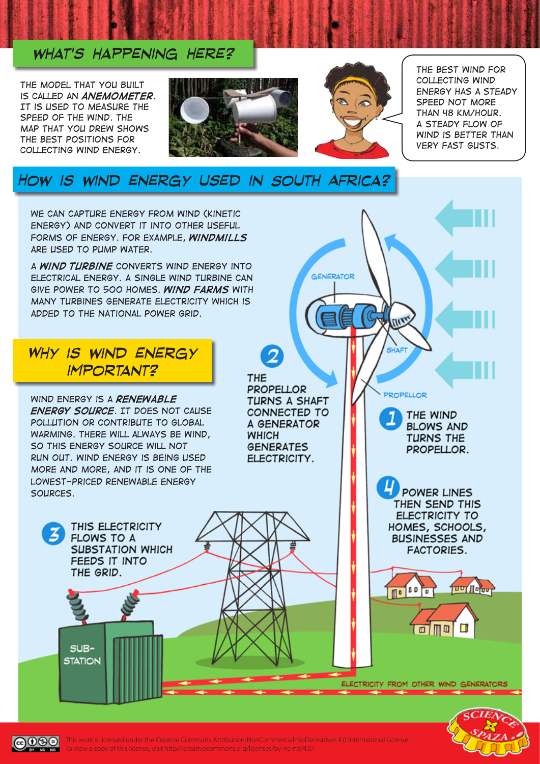#### *what's happening here?*

*The model that you built is called an anemometer. It is used to measure the speed of the wind. The map that you drew shows the best positions for collecting wind energy.* 





GENERATOR

W

SHAFT

PROPELLOR

THE WIND

**BLOWS AND** 

**TURNS THE** 

PROPELLOR.

**POWER LINES** THEN SEND THIS **ELECTRICITY TO** 

HOMES, SCHOOLS,

**BUSINESSES AND** 

**FACTORIES.** 

 $\sqrt{100}$ 

 $\Box$ m  $\Box$ Π

 $\mathbb{R}$ 

**TUUT Notar** 

*The best wind for collecting wind energy has a steady speed not more than 48 km/hour. A steady flow of wind is better than very fast gusts.* 

## *How is wind energy used in South Africa?*

*We can capture energy from wind (kinetic energy) and convert it into other useful forms of energy. For example, windmills are used to pump water.* 

*A wind turbine converts wind energy into electrical energy. A single wind turbine can give power to 500 homes. Wind farms with many turbines generate electricity which is added to the national power grid.* 

#### *Why is wind energy important?*

*Wind energy is a renewable energy source. It does not cause pollution or contribute to global warming. There will always be wind, so this energy source will not run out. Wind energy is being used more and more, and it is one of the lowest-priced renewable energy sources.*

> THIS ELECTRICITY **FLOWS TO A SUBSTATION WHICH** FEEDS IT INTO THE GRID.

 $SUB-$ **STATION** 

ெ⊕

**THE PROPELLOR** TURNS A SHAFT CONNECTED TO A GENERATOR **WHICH GENERATES** ELECTRICITY.

2

ELECTRICITY FROM OTHER WIND GENERATORS



This work is licensed under the Creative Commons Attribution-NonCommercial-NoDerivatives 4.0 International License. To view a copy of this license, visit http://creativecommons.org/licenses/by-nc-nd/4.0/.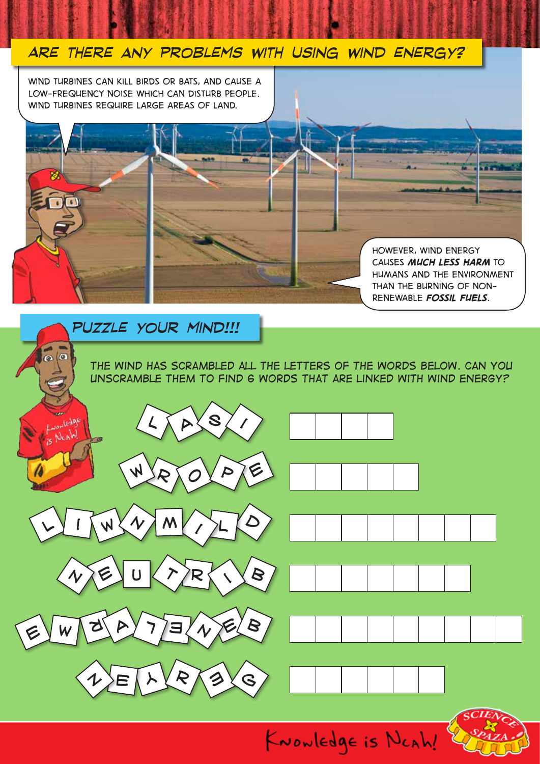

*causes much less harm to humans and the environment than the burning of nonrenewable fossil fuels.* 

#### *puzzle your mind!!!*

*The wind has scrambled all the letters of the words below. Can you unscramble them to find 6 words that are linked with wind energy?*